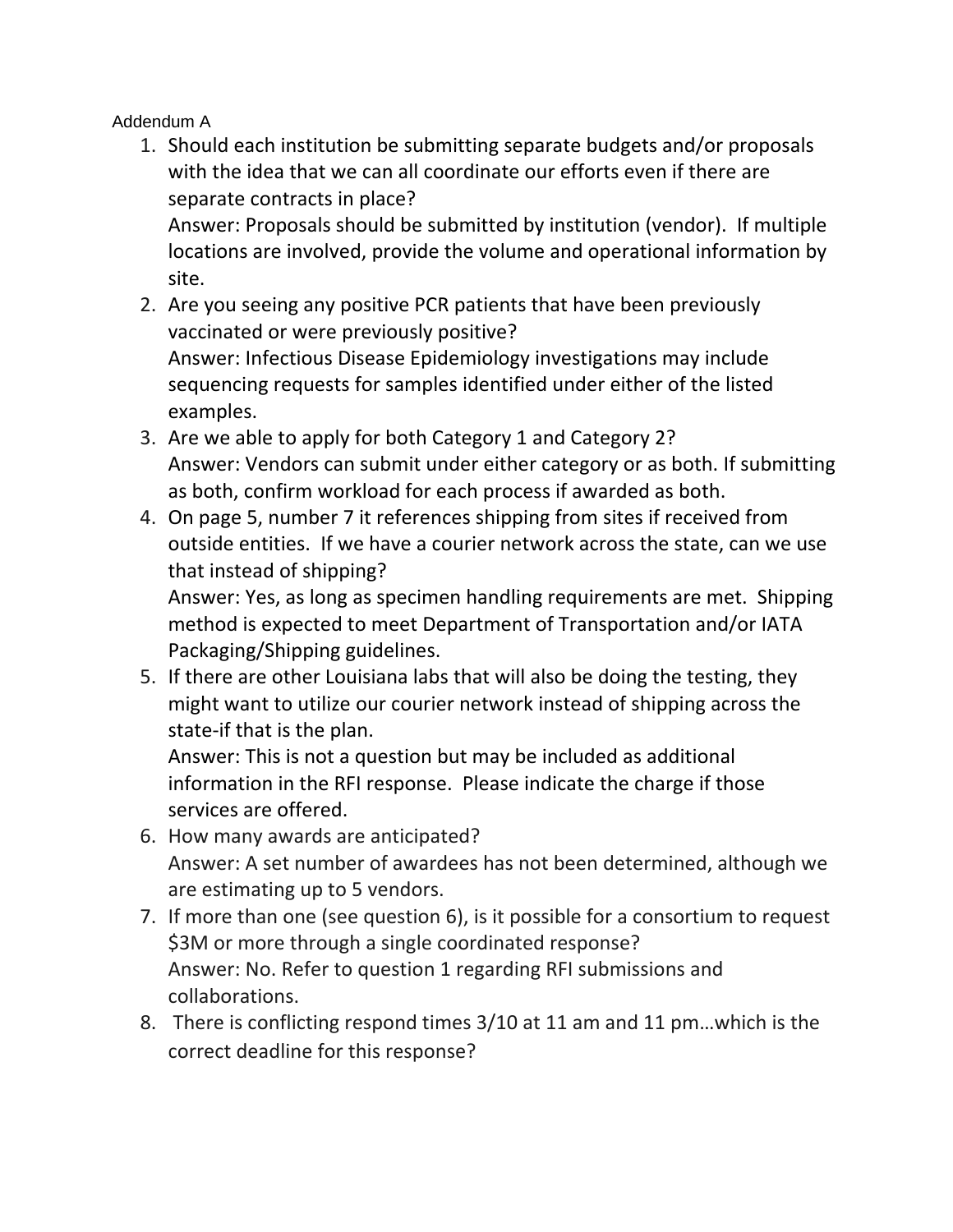Addendum A

1. Should each institution be submitting separate budgets and/or proposals with the idea that we can all coordinate our efforts even if there are separate contracts in place?

Answer: Proposals should be submitted by institution (vendor). If multiple locations are involved, provide the volume and operational information by site.

- 2. Are you seeing any positive PCR patients that have been previously vaccinated or were previously positive? Answer: Infectious Disease Epidemiology investigations may include sequencing requests for samples identified under either of the listed examples.
- 3. Are we able to apply for both Category 1 and Category 2? Answer: Vendors can submit under either category or as both. If submitting as both, confirm workload for each process if awarded as both.
- 4. On page 5, number 7 it references shipping from sites if received from outside entities. If we have a courier network across the state, can we use that instead of shipping?

Answer: Yes, as long as specimen handling requirements are met. Shipping method is expected to meet Department of Transportation and/or IATA Packaging/Shipping guidelines.

5. If there are other Louisiana labs that will also be doing the testing, they might want to utilize our courier network instead of shipping across the state-if that is the plan.

Answer: This is not a question but may be included as additional information in the RFI response. Please indicate the charge if those services are offered.

- 6. How many awards are anticipated? Answer: A set number of awardees has not been determined, although we are estimating up to 5 vendors.
- 7. If more than one (see question 6), is it possible for a consortium to request \$3M or more through a single coordinated response? Answer: No. Refer to question 1 regarding RFI submissions and collaborations.
- 8. There is conflicting respond times 3/10 at 11 am and 11 pm…which is the correct deadline for this response?